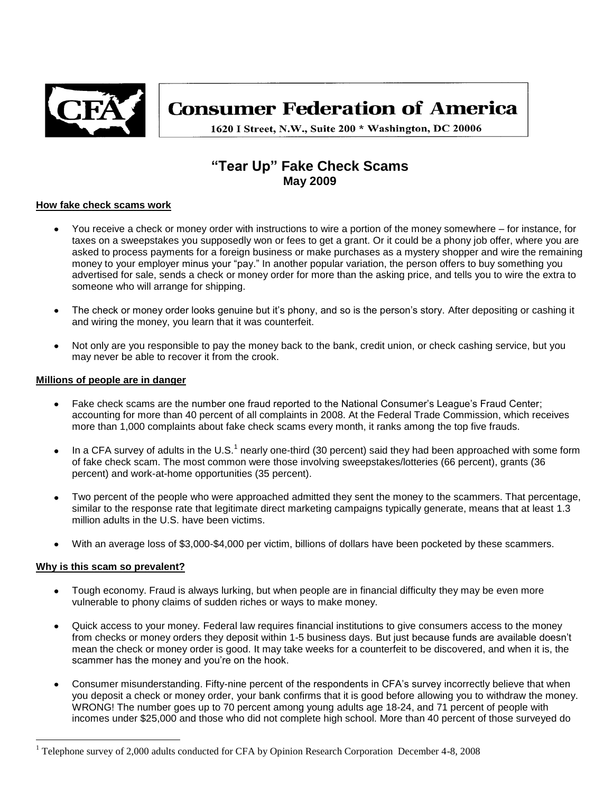

# **Consumer Federation of America**

1620 I Street, N.W., Suite 200 \* Washington, DC 20006

# **"Tear Up" Fake Check Scams May 2009**

#### **How fake check scams work**

- You receive a check or money order with instructions to wire a portion of the money somewhere for instance, for taxes on a sweepstakes you supposedly won or fees to get a grant. Or it could be a phony job offer, where you are asked to process payments for a foreign business or make purchases as a mystery shopper and wire the remaining money to your employer minus your "pay." In another popular variation, the person offers to buy something you advertised for sale, sends a check or money order for more than the asking price, and tells you to wire the extra to someone who will arrange for shipping.
- The check or money order looks genuine but it's phony, and so is the person's story. After depositing or cashing it and wiring the money, you learn that it was counterfeit.
- Not only are you responsible to pay the money back to the bank, credit union, or check cashing service, but you may never be able to recover it from the crook.

#### **Millions of people are in danger**

- Fake check scams are the number one fraud reported to the National Consumer's League's Fraud Center; accounting for more than 40 percent of all complaints in 2008. At the Federal Trade Commission, which receives more than 1,000 complaints about fake check scams every month, it ranks among the top five frauds.
- In a CFA survey of adults in the U.S.<sup>1</sup> nearly one-third (30 percent) said they had been approached with some form  $\bullet$ of fake check scam. The most common were those involving sweepstakes/lotteries (66 percent), grants (36 percent) and work-at-home opportunities (35 percent).
- Two percent of the people who were approached admitted they sent the money to the scammers. That percentage, similar to the response rate that legitimate direct marketing campaigns typically generate, means that at least 1.3 million adults in the U.S. have been victims.
- With an average loss of \$3,000-\$4,000 per victim, billions of dollars have been pocketed by these scammers.

# **Why is this scam so prevalent?**

 $\overline{a}$ 

- Tough economy. Fraud is always lurking, but when people are in financial difficulty they may be even more vulnerable to phony claims of sudden riches or ways to make money.
- Quick access to your money. Federal law requires financial institutions to give consumers access to the money from checks or money orders they deposit within 1-5 business days. But just because funds are available doesn't mean the check or money order is good. It may take weeks for a counterfeit to be discovered, and when it is, the scammer has the money and you're on the hook.
- Consumer misunderstanding. Fifty-nine percent of the respondents in CFA's survey incorrectly believe that when you deposit a check or money order, your bank confirms that it is good before allowing you to withdraw the money. WRONG! The number goes up to 70 percent among young adults age 18-24, and 71 percent of people with incomes under \$25,000 and those who did not complete high school. More than 40 percent of those surveyed do

<sup>&</sup>lt;sup>1</sup> Telephone survey of 2,000 adults conducted for CFA by Opinion Research Corporation December 4-8, 2008